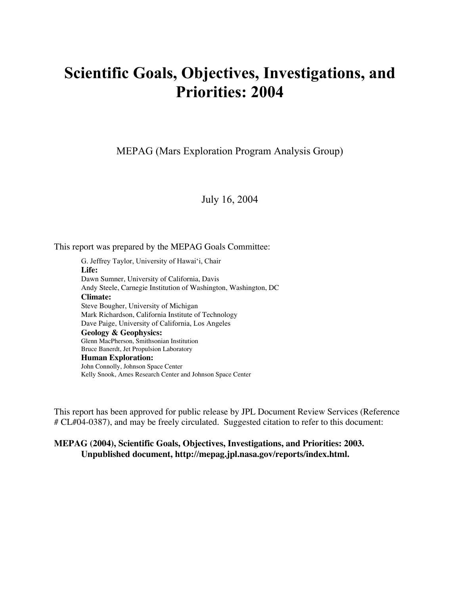# Scientific Goals, Objectives, Investigations, and Priorities: 2004

MEPAG (Mars Exploration Program Analysis Group)

July 16, 2004

This report was prepared by the MEPAG Goals Committee:

G. Jeffrey Taylor, University of Hawai'i, Chair **Life:** Dawn Sumner, University of California, Davis Andy Steele, Carnegie Institution of Washington, Washington, DC **Climate:** Steve Bougher, University of Michigan Mark Richardson, California Institute of Technology Dave Paige, University of California, Los Angeles **Geology & Geophysics:** Glenn MacPherson, Smithsonian Institution Bruce Banerdt, Jet Propulsion Laboratory **Human Exploration:** John Connolly, Johnson Space Center Kelly Snook, Ames Research Center and Johnson Space Center

This report has been approved for public release by JPL Document Review Services (Reference # CL#04-0387), and may be freely circulated. Suggested citation to refer to this document:

#### **MEPAG (2004), Scientific Goals, Objectives, Investigations, and Priorities: 2003. Unpublished document, http://mepag.jpl.nasa.gov/reports/index.html.**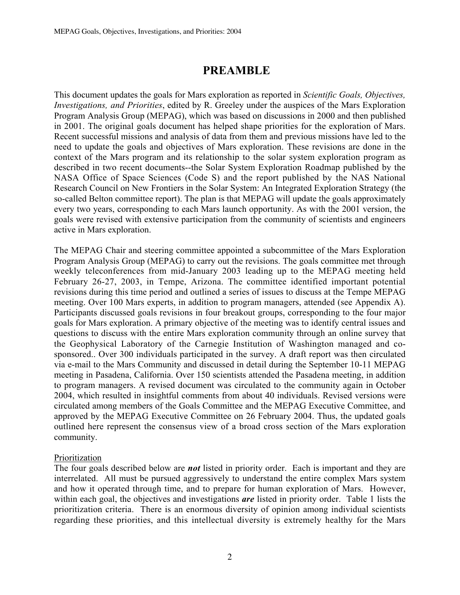## PREAMBLE

This document updates the goals for Mars exploration as reported in *Scientific Goals, Objectives, Investigations, and Priorities*, edited by R. Greeley under the auspices of the Mars Exploration Program Analysis Group (MEPAG), which was based on discussions in 2000 and then published in 2001. The original goals document has helped shape priorities for the exploration of Mars. Recent successful missions and analysis of data from them and previous missions have led to the need to update the goals and objectives of Mars exploration. These revisions are done in the context of the Mars program and its relationship to the solar system exploration program as described in two recent documents--the Solar System Exploration Roadmap published by the NASA Office of Space Sciences (Code S) and the report published by the NAS National Research Council on New Frontiers in the Solar System: An Integrated Exploration Strategy (the so-called Belton committee report). The plan is that MEPAG will update the goals approximately every two years, corresponding to each Mars launch opportunity. As with the 2001 version, the goals were revised with extensive participation from the community of scientists and engineers active in Mars exploration.

The MEPAG Chair and steering committee appointed a subcommittee of the Mars Exploration Program Analysis Group (MEPAG) to carry out the revisions. The goals committee met through weekly teleconferences from mid-January 2003 leading up to the MEPAG meeting held February 26-27, 2003, in Tempe, Arizona. The committee identified important potential revisions during this time period and outlined a series of issues to discuss at the Tempe MEPAG meeting. Over 100 Mars experts, in addition to program managers, attended (see Appendix A). Participants discussed goals revisions in four breakout groups, corresponding to the four major goals for Mars exploration. A primary objective of the meeting was to identify central issues and questions to discuss with the entire Mars exploration community through an online survey that the Geophysical Laboratory of the Carnegie Institution of Washington managed and cosponsored.. Over 300 individuals participated in the survey. A draft report was then circulated via e-mail to the Mars Community and discussed in detail during the September 10-11 MEPAG meeting in Pasadena, California. Over 150 scientists attended the Pasadena meeting, in addition to program managers. A revised document was circulated to the community again in October 2004, which resulted in insightful comments from about 40 individuals. Revised versions were circulated among members of the Goals Committee and the MEPAG Executive Committee, and approved by the MEPAG Executive Committee on 26 February 2004. Thus, the updated goals outlined here represent the consensus view of a broad cross section of the Mars exploration community.

### Prioritization

The four goals described below are *not* listed in priority order. Each is important and they are interrelated. All must be pursued aggressively to understand the entire complex Mars system and how it operated through time, and to prepare for human exploration of Mars. However, within each goal, the objectives and investigations *are* listed in priority order. Table 1 lists the prioritization criteria. There is an enormous diversity of opinion among individual scientists regarding these priorities, and this intellectual diversity is extremely healthy for the Mars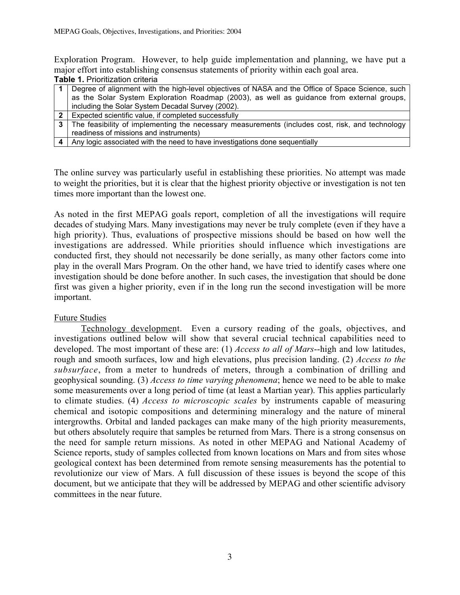Exploration Program. However, to help guide implementation and planning, we have put a major effort into establishing consensus statements of priority within each goal area. **Table 1.** Prioritization criteria

|  | 1 Degree of alignment with the high-level objectives of NASA and the Office of Space Science, such |  |
|--|----------------------------------------------------------------------------------------------------|--|
|  | as the Solar System Exploration Roadmap (2003), as well as guidance from external groups,          |  |
|  | including the Solar System Decadal Survey (2002).                                                  |  |
|  | $\mid$ 2   Expected scientific value, if completed successfully                                    |  |

- **3** The feasibility of implementing the necessary measurements (includes cost, risk, and technology readiness of missions and instruments)
- **4** Any logic associated with the need to have investigations done sequentially

The online survey was particularly useful in establishing these priorities. No attempt was made to weight the priorities, but it is clear that the highest priority objective or investigation is not ten times more important than the lowest one.

As noted in the first MEPAG goals report, completion of all the investigations will require decades of studying Mars. Many investigations may never be truly complete (even if they have a high priority). Thus, evaluations of prospective missions should be based on how well the investigations are addressed. While priorities should influence which investigations are conducted first, they should not necessarily be done serially, as many other factors come into play in the overall Mars Program. On the other hand, we have tried to identify cases where one investigation should be done before another. In such cases, the investigation that should be done first was given a higher priority, even if in the long run the second investigation will be more important.

#### Future Studies

Technology development. Even a cursory reading of the goals, objectives, and investigations outlined below will show that several crucial technical capabilities need to developed. The most important of these are: (1) *Access to all of Mars*--high and low latitudes, rough and smooth surfaces, low and high elevations, plus precision landing. (2) *Access to the subsurface*, from a meter to hundreds of meters, through a combination of drilling and geophysical sounding. (3) *Access to time varying phenomena*; hence we need to be able to make some measurements over a long period of time (at least a Martian year). This applies particularly to climate studies. (4) *Access to microscopic scales* by instruments capable of measuring chemical and isotopic compositions and determining mineralogy and the nature of mineral intergrowths. Orbital and landed packages can make many of the high priority measurements, but others absolutely require that samples be returned from Mars. There is a strong consensus on the need for sample return missions. As noted in other MEPAG and National Academy of Science reports, study of samples collected from known locations on Mars and from sites whose geological context has been determined from remote sensing measurements has the potential to revolutionize our view of Mars. A full discussion of these issues is beyond the scope of this document, but we anticipate that they will be addressed by MEPAG and other scientific advisory committees in the near future.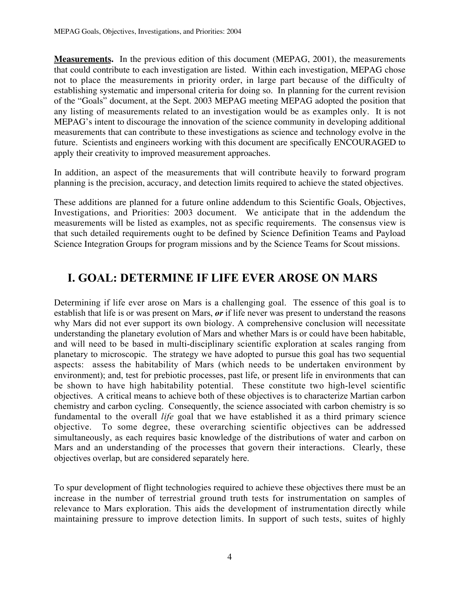**Measurements.** In the previous edition of this document (MEPAG, 2001), the measurements that could contribute to each investigation are listed. Within each investigation, MEPAG chose not to place the measurements in priority order, in large part because of the difficulty of establishing systematic and impersonal criteria for doing so. In planning for the current revision of the "Goals" document, at the Sept. 2003 MEPAG meeting MEPAG adopted the position that any listing of measurements related to an investigation would be as examples only. It is not MEPAG's intent to discourage the innovation of the science community in developing additional measurements that can contribute to these investigations as science and technology evolve in the future. Scientists and engineers working with this document are specifically ENCOURAGED to apply their creativity to improved measurement approaches.

In addition, an aspect of the measurements that will contribute heavily to forward program planning is the precision, accuracy, and detection limits required to achieve the stated objectives.

These additions are planned for a future online addendum to this Scientific Goals, Objectives, Investigations, and Priorities: 2003 document. We anticipate that in the addendum the measurements will be listed as examples, not as specific requirements. The consensus view is that such detailed requirements ought to be defined by Science Definition Teams and Payload Science Integration Groups for program missions and by the Science Teams for Scout missions.

## I. GOAL: DETERMINE IF LIFE EVER AROSE ON MARS

Determining if life ever arose on Mars is a challenging goal. The essence of this goal is to establish that life is or was present on Mars, *or* if life never was present to understand the reasons why Mars did not ever support its own biology. A comprehensive conclusion will necessitate understanding the planetary evolution of Mars and whether Mars is or could have been habitable, and will need to be based in multi-disciplinary scientific exploration at scales ranging from planetary to microscopic. The strategy we have adopted to pursue this goal has two sequential aspects: assess the habitability of Mars (which needs to be undertaken environment by environment); and, test for prebiotic processes, past life, or present life in environments that can be shown to have high habitability potential. These constitute two high-level scientific objectives. A critical means to achieve both of these objectives is to characterize Martian carbon chemistry and carbon cycling. Consequently, the science associated with carbon chemistry is so fundamental to the overall *life* goal that we have established it as a third primary science objective. To some degree, these overarching scientific objectives can be addressed simultaneously, as each requires basic knowledge of the distributions of water and carbon on Mars and an understanding of the processes that govern their interactions. Clearly, these objectives overlap, but are considered separately here.

To spur development of flight technologies required to achieve these objectives there must be an increase in the number of terrestrial ground truth tests for instrumentation on samples of relevance to Mars exploration. This aids the development of instrumentation directly while maintaining pressure to improve detection limits. In support of such tests, suites of highly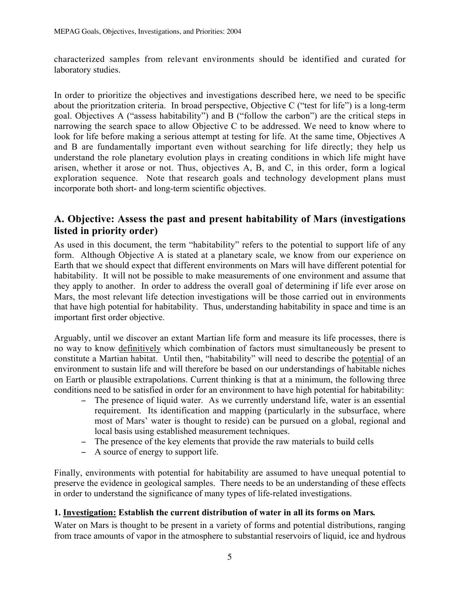characterized samples from relevant environments should be identified and curated for laboratory studies.

In order to prioritize the objectives and investigations described here, we need to be specific about the prioritzation criteria. In broad perspective, Objective C ("test for life") is a long-term goal. Objectives A ("assess habitability") and B ("follow the carbon") are the critical steps in narrowing the search space to allow Objective C to be addressed. We need to know where to look for life before making a serious attempt at testing for life. At the same time, Objectives A and B are fundamentally important even without searching for life directly; they help us understand the role planetary evolution plays in creating conditions in which life might have arisen, whether it arose or not. Thus, objectives A, B, and C, in this order, form a logical exploration sequence. Note that research goals and technology development plans must incorporate both short- and long-term scientific objectives.

## A. Objective: Assess the past and present habitability of Mars (investigations listed in priority order)

As used in this document, the term "habitability" refers to the potential to support life of any form. Although Objective A is stated at a planetary scale, we know from our experience on Earth that we should expect that different environments on Mars will have different potential for habitability. It will not be possible to make measurements of one environment and assume that they apply to another. In order to address the overall goal of determining if life ever arose on Mars, the most relevant life detection investigations will be those carried out in environments that have high potential for habitability. Thus, understanding habitability in space and time is an important first order objective.

Arguably, until we discover an extant Martian life form and measure its life processes, there is no way to know definitively which combination of factors must simultaneously be present to constitute a Martian habitat. Until then, "habitability" will need to describe the potential of an environment to sustain life and will therefore be based on our understandings of habitable niches on Earth or plausible extrapolations. Current thinking is that at a minimum, the following three conditions need to be satisfied in order for an environment to have high potential for habitability:

- − The presence of liquid water. As we currently understand life, water is an essential requirement. Its identification and mapping (particularly in the subsurface, where most of Mars' water is thought to reside) can be pursued on a global, regional and local basis using established measurement techniques.
- − The presence of the key elements that provide the raw materials to build cells
- − A source of energy to support life.

Finally, environments with potential for habitability are assumed to have unequal potential to preserve the evidence in geological samples. There needs to be an understanding of these effects in order to understand the significance of many types of life-related investigations.

### 1. Investigation: Establish the current distribution of water in all its forms on Mars*.*

Water on Mars is thought to be present in a variety of forms and potential distributions, ranging from trace amounts of vapor in the atmosphere to substantial reservoirs of liquid, ice and hydrous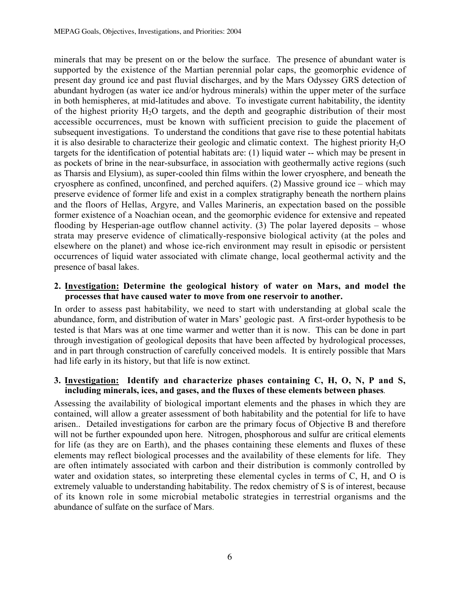minerals that may be present on or the below the surface. The presence of abundant water is supported by the existence of the Martian perennial polar caps, the geomorphic evidence of present day ground ice and past fluvial discharges, and by the Mars Odyssey GRS detection of abundant hydrogen (as water ice and/or hydrous minerals) within the upper meter of the surface in both hemispheres, at mid-latitudes and above. To investigate current habitability, the identity of the highest priority  $H_2O$  targets, and the depth and geographic distribution of their most accessible occurrences, must be known with sufficient precision to guide the placement of subsequent investigations. To understand the conditions that gave rise to these potential habitats it is also desirable to characterize their geologic and climatic context. The highest priority  $H_2O$ targets for the identification of potential habitats are: (1) liquid water -- which may be present in as pockets of brine in the near-subsurface, in association with geothermally active regions (such as Tharsis and Elysium), as super-cooled thin films within the lower cryosphere, and beneath the cryosphere as confined, unconfined, and perched aquifers. (2) Massive ground ice – which may preserve evidence of former life and exist in a complex stratigraphy beneath the northern plains and the floors of Hellas, Argyre, and Valles Marineris, an expectation based on the possible former existence of a Noachian ocean, and the geomorphic evidence for extensive and repeated flooding by Hesperian-age outflow channel activity. (3) The polar layered deposits – whose strata may preserve evidence of climatically-responsive biological activity (at the poles and elsewhere on the planet) and whose ice-rich environment may result in episodic or persistent occurrences of liquid water associated with climate change, local geothermal activity and the presence of basal lakes.

### 2. Investigation: Determine the geological history of water on Mars, and model the processes that have caused water to move from one reservoir to another.

In order to assess past habitability, we need to start with understanding at global scale the abundance, form, and distribution of water in Mars' geologic past. A first-order hypothesis to be tested is that Mars was at one time warmer and wetter than it is now. This can be done in part through investigation of geological deposits that have been affected by hydrological processes, and in part through construction of carefully conceived models. It is entirely possible that Mars had life early in its history, but that life is now extinct.

#### 3. Investigation: Identify and characterize phases containing C, H, O, N, P and S, including minerals, ices, and gases, and the fluxes of these elements between phases*.*

Assessing the availability of biological important elements and the phases in which they are contained, will allow a greater assessment of both habitability and the potential for life to have arisen.. Detailed investigations for carbon are the primary focus of Objective B and therefore will not be further expounded upon here. Nitrogen, phosphorous and sulfur are critical elements for life (as they are on Earth), and the phases containing these elements and fluxes of these elements may reflect biological processes and the availability of these elements for life. They are often intimately associated with carbon and their distribution is commonly controlled by water and oxidation states, so interpreting these elemental cycles in terms of C, H, and O is extremely valuable to understanding habitability. The redox chemistry of S is of interest, because of its known role in some microbial metabolic strategies in terrestrial organisms and the abundance of sulfate on the surface of Mars.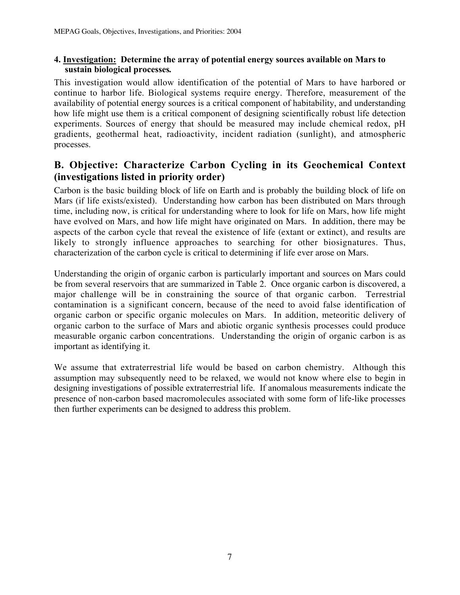### 4. Investigation: Determine the array of potential energy sources available on Mars to sustain biological processes*.*

This investigation would allow identification of the potential of Mars to have harbored or continue to harbor life. Biological systems require energy. Therefore, measurement of the availability of potential energy sources is a critical component of habitability, and understanding how life might use them is a critical component of designing scientifically robust life detection experiments. Sources of energy that should be measured may include chemical redox, pH gradients, geothermal heat, radioactivity, incident radiation (sunlight), and atmospheric processes.

## B. Objective: Characterize Carbon Cycling in its Geochemical Context (investigations listed in priority order)

Carbon is the basic building block of life on Earth and is probably the building block of life on Mars (if life exists/existed). Understanding how carbon has been distributed on Mars through time, including now, is critical for understanding where to look for life on Mars, how life might have evolved on Mars, and how life might have originated on Mars. In addition, there may be aspects of the carbon cycle that reveal the existence of life (extant or extinct), and results are likely to strongly influence approaches to searching for other biosignatures. Thus, characterization of the carbon cycle is critical to determining if life ever arose on Mars.

Understanding the origin of organic carbon is particularly important and sources on Mars could be from several reservoirs that are summarized in Table 2. Once organic carbon is discovered, a major challenge will be in constraining the source of that organic carbon. Terrestrial contamination is a significant concern, because of the need to avoid false identification of organic carbon or specific organic molecules on Mars. In addition, meteoritic delivery of organic carbon to the surface of Mars and abiotic organic synthesis processes could produce measurable organic carbon concentrations. Understanding the origin of organic carbon is as important as identifying it.

We assume that extraterrestrial life would be based on carbon chemistry. Although this assumption may subsequently need to be relaxed, we would not know where else to begin in designing investigations of possible extraterrestrial life. If anomalous measurements indicate the presence of non-carbon based macromolecules associated with some form of life-like processes then further experiments can be designed to address this problem.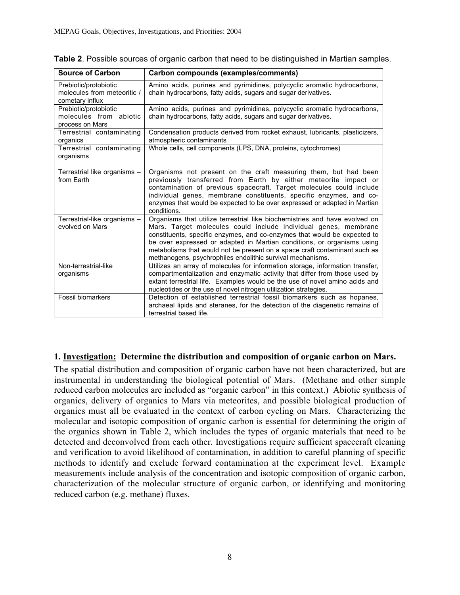| <b>Source of Carbon</b>                                                 | Carbon compounds (examples/comments)                                                                                                                                                                                                                                                                                                                                                                                                            |
|-------------------------------------------------------------------------|-------------------------------------------------------------------------------------------------------------------------------------------------------------------------------------------------------------------------------------------------------------------------------------------------------------------------------------------------------------------------------------------------------------------------------------------------|
| Prebiotic/protobiotic<br>molecules from meteoritic /<br>cometary influx | Amino acids, purines and pyrimidines, polycyclic aromatic hydrocarbons,<br>chain hydrocarbons, fatty acids, sugars and sugar derivatives.                                                                                                                                                                                                                                                                                                       |
| Prebiotic/protobiotic<br>molecules from abiotic<br>process on Mars      | Amino acids, purines and pyrimidines, polycyclic aromatic hydrocarbons,<br>chain hydrocarbons, fatty acids, sugars and sugar derivatives.                                                                                                                                                                                                                                                                                                       |
| Terrestrial contaminating<br>organics                                   | Condensation products derived from rocket exhaust, lubricants, plasticizers,<br>atmospheric contaminants                                                                                                                                                                                                                                                                                                                                        |
| Terrestrial contaminating<br>organisms                                  | Whole cells, cell components (LPS, DNA, proteins, cytochromes)                                                                                                                                                                                                                                                                                                                                                                                  |
| Terrestrial like organisms -<br>from Earth                              | Organisms not present on the craft measuring them, but had been<br>previously transferred from Earth by either meteorite impact or<br>contamination of previous spacecraft. Target molecules could include<br>individual genes, membrane constituents, specific enzymes, and co-<br>enzymes that would be expected to be over expressed or adapted in Martian<br>conditions.                                                                    |
| Terrestrial-like organisms -<br>evolved on Mars                         | Organisms that utilize terrestrial like biochemistries and have evolved on<br>Mars. Target molecules could include individual genes, membrane<br>constituents, specific enzymes, and co-enzymes that would be expected to<br>be over expressed or adapted in Martian conditions, or organisms using<br>metabolisms that would not be present on a space craft contaminant such as<br>methanogens, psychrophiles endolithic survival mechanisms. |
| Non-terrestrial-like<br>organisms                                       | Utilizes an array of molecules for information storage, information transfer,<br>compartmentalization and enzymatic activity that differ from those used by<br>extant terrestrial life. Examples would be the use of novel amino acids and<br>nucleotides or the use of novel nitrogen utilization strategies.                                                                                                                                  |
| Fossil biomarkers                                                       | Detection of established terrestrial fossil biomarkers such as hopanes,<br>archaeal lipids and steranes, for the detection of the diagenetic remains of<br>terrestrial based life.                                                                                                                                                                                                                                                              |

**Table 2**. Possible sources of organic carbon that need to be distinguished in Martian samples.

#### 1. Investigation: Determine the distribution and composition of organic carbon on Mars.

The spatial distribution and composition of organic carbon have not been characterized, but are instrumental in understanding the biological potential of Mars. (Methane and other simple reduced carbon molecules are included as "organic carbon" in this context.) Abiotic synthesis of organics, delivery of organics to Mars via meteorites, and possible biological production of organics must all be evaluated in the context of carbon cycling on Mars. Characterizing the molecular and isotopic composition of organic carbon is essential for determining the origin of the organics shown in Table 2, which includes the types of organic materials that need to be detected and deconvolved from each other. Investigations require sufficient spacecraft cleaning and verification to avoid likelihood of contamination, in addition to careful planning of specific methods to identify and exclude forward contamination at the experiment level. Example measurements include analysis of the concentration and isotopic composition of organic carbon, characterization of the molecular structure of organic carbon, or identifying and monitoring reduced carbon (e.g. methane) fluxes.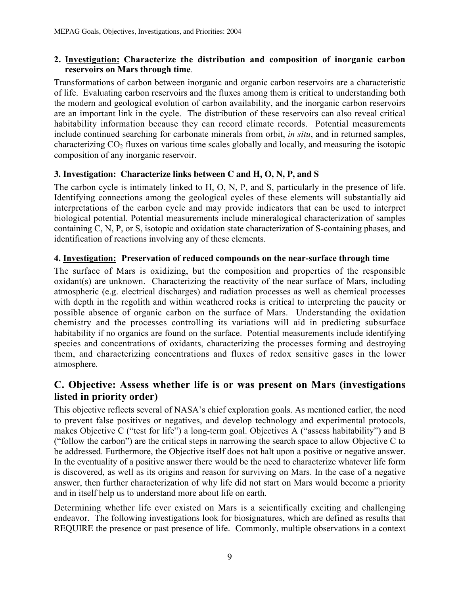### 2. Investigation: Characterize the distribution and composition of inorganic carbon reservoirs on Mars through time*.*

Transformations of carbon between inorganic and organic carbon reservoirs are a characteristic of life. Evaluating carbon reservoirs and the fluxes among them is critical to understanding both the modern and geological evolution of carbon availability, and the inorganic carbon reservoirs are an important link in the cycle. The distribution of these reservoirs can also reveal critical habitability information because they can record climate records. Potential measurements include continued searching for carbonate minerals from orbit, *in situ*, and in returned samples, characterizing  $CO<sub>2</sub>$  fluxes on various time scales globally and locally, and measuring the isotopic composition of any inorganic reservoir.

### **3. Investigation: Characterize links between C and H, O, N, P, and S**

The carbon cycle is intimately linked to H, O, N, P, and S, particularly in the presence of life. Identifying connections among the geological cycles of these elements will substantially aid interpretations of the carbon cycle and may provide indicators that can be used to interpret biological potential. Potential measurements include mineralogical characterization of samples containing C, N, P, or S, isotopic and oxidation state characterization of S-containing phases, and identification of reactions involving any of these elements.

### 4. Investigation: Preservation of reduced compounds on the near-surface through time

The surface of Mars is oxidizing, but the composition and properties of the responsible oxidant(s) are unknown. Characterizing the reactivity of the near surface of Mars, including atmospheric (e.g. electrical discharges) and radiation processes as well as chemical processes with depth in the regolith and within weathered rocks is critical to interpreting the paucity or possible absence of organic carbon on the surface of Mars. Understanding the oxidation chemistry and the processes controlling its variations will aid in predicting subsurface habitability if no organics are found on the surface. Potential measurements include identifying species and concentrations of oxidants, characterizing the processes forming and destroying them, and characterizing concentrations and fluxes of redox sensitive gases in the lower atmosphere.

## C. Objective: Assess whether life is or was present on Mars (investigations listed in priority order)

This objective reflects several of NASA's chief exploration goals. As mentioned earlier, the need to prevent false positives or negatives, and develop technology and experimental protocols, makes Objective C ("test for life") a long-term goal. Objectives A ("assess habitability") and B ("follow the carbon") are the critical steps in narrowing the search space to allow Objective C to be addressed. Furthermore, the Objective itself does not halt upon a positive or negative answer. In the eventuality of a positive answer there would be the need to characterize whatever life form is discovered, as well as its origins and reason for surviving on Mars. In the case of a negative answer, then further characterization of why life did not start on Mars would become a priority and in itself help us to understand more about life on earth.

Determining whether life ever existed on Mars is a scientifically exciting and challenging endeavor. The following investigations look for biosignatures, which are defined as results that REQUIRE the presence or past presence of life. Commonly, multiple observations in a context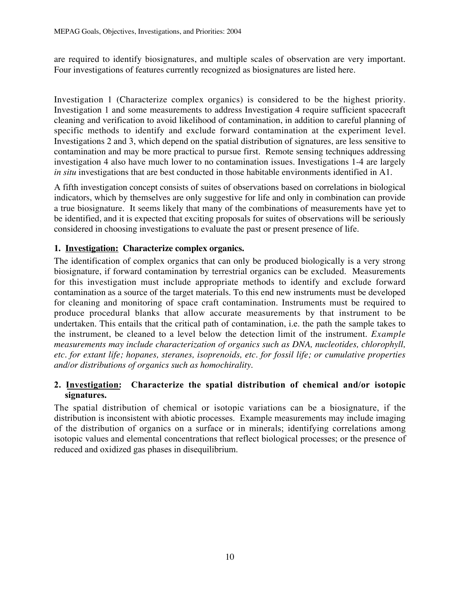are required to identify biosignatures, and multiple scales of observation are very important. Four investigations of features currently recognized as biosignatures are listed here.

Investigation 1 (Characterize complex organics) is considered to be the highest priority. Investigation 1 and some measurements to address Investigation 4 require sufficient spacecraft cleaning and verification to avoid likelihood of contamination, in addition to careful planning of specific methods to identify and exclude forward contamination at the experiment level. Investigations 2 and 3, which depend on the spatial distribution of signatures, are less sensitive to contamination and may be more practical to pursue first. Remote sensing techniques addressing investigation 4 also have much lower to no contamination issues. Investigations 1-4 are largely *in situ* investigations that are best conducted in those habitable environments identified in A1.

A fifth investigation concept consists of suites of observations based on correlations in biological indicators, which by themselves are only suggestive for life and only in combination can provide a true biosignature. It seems likely that many of the combinations of measurements have yet to be identified, and it is expected that exciting proposals for suites of observations will be seriously considered in choosing investigations to evaluate the past or present presence of life.

### **1. Investigation: Characterize complex organics.**

The identification of complex organics that can only be produced biologically is a very strong biosignature, if forward contamination by terrestrial organics can be excluded. Measurements for this investigation must include appropriate methods to identify and exclude forward contamination as a source of the target materials. To this end new instruments must be developed for cleaning and monitoring of space craft contamination. Instruments must be required to produce procedural blanks that allow accurate measurements by that instrument to be undertaken. This entails that the critical path of contamination, i.e. the path the sample takes to the instrument, be cleaned to a level below the detection limit of the instrument. *Example measurements may include characterization of organics such as DNA, nucleotides, chlorophyll, etc. for extant life; hopanes, steranes, isoprenoids, etc. for fossil life; or cumulative properties and/or distributions of organics such as homochirality.*

### 2. Investigation: Characterize the spatial distribution of chemical and/or isotopic signatures.

The spatial distribution of chemical or isotopic variations can be a biosignature, if the distribution is inconsistent with abiotic processes. Example measurements may include imaging of the distribution of organics on a surface or in minerals; identifying correlations among isotopic values and elemental concentrations that reflect biological processes; or the presence of reduced and oxidized gas phases in disequilibrium.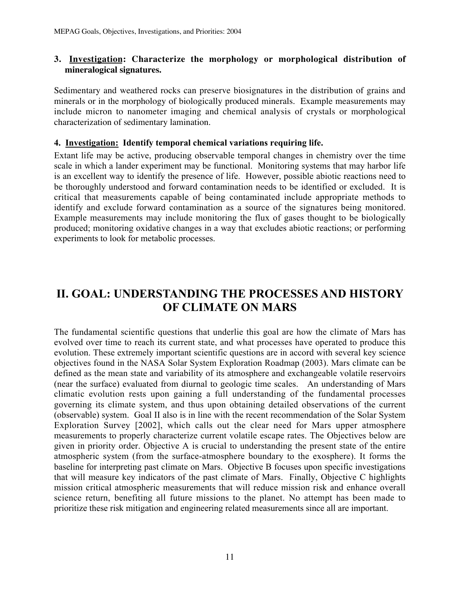### **3. Investigation: Characterize the morphology or morphological distribution of mineralogical signatures.**

Sedimentary and weathered rocks can preserve biosignatures in the distribution of grains and minerals or in the morphology of biologically produced minerals. Example measurements may include micron to nanometer imaging and chemical analysis of crystals or morphological characterization of sedimentary lamination.

### 4. Investigation: Identify temporal chemical variations requiring life.

Extant life may be active, producing observable temporal changes in chemistry over the time scale in which a lander experiment may be functional. Monitoring systems that may harbor life is an excellent way to identify the presence of life. However, possible abiotic reactions need to be thoroughly understood and forward contamination needs to be identified or excluded. It is critical that measurements capable of being contaminated include appropriate methods to identify and exclude forward contamination as a source of the signatures being monitored. Example measurements may include monitoring the flux of gases thought to be biologically produced; monitoring oxidative changes in a way that excludes abiotic reactions; or performing experiments to look for metabolic processes.

## II. GOAL: UNDERSTANDING THE PROCESSES AND HISTORY OF CLIMATE ON MARS

The fundamental scientific questions that underlie this goal are how the climate of Mars has evolved over time to reach its current state, and what processes have operated to produce this evolution. These extremely important scientific questions are in accord with several key science objectives found in the NASA Solar System Exploration Roadmap (2003). Mars climate can be defined as the mean state and variability of its atmosphere and exchangeable volatile reservoirs (near the surface) evaluated from diurnal to geologic time scales. An understanding of Mars climatic evolution rests upon gaining a full understanding of the fundamental processes governing its climate system, and thus upon obtaining detailed observations of the current (observable) system. Goal II also is in line with the recent recommendation of the Solar System Exploration Survey [2002], which calls out the clear need for Mars upper atmosphere measurements to properly characterize current volatile escape rates. The Objectives below are given in priority order. Objective A is crucial to understanding the present state of the entire atmospheric system (from the surface-atmosphere boundary to the exosphere). It forms the baseline for interpreting past climate on Mars. Objective B focuses upon specific investigations that will measure key indicators of the past climate of Mars. Finally, Objective C highlights mission critical atmospheric measurements that will reduce mission risk and enhance overall science return, benefiting all future missions to the planet. No attempt has been made to prioritize these risk mitigation and engineering related measurements since all are important.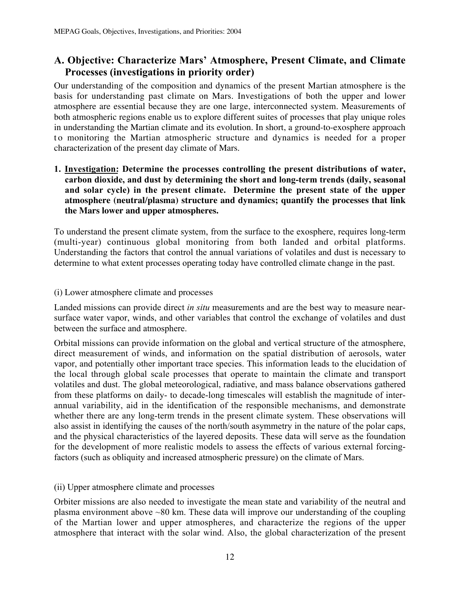## A. Objective: Characterize Mars' Atmosphere, Present Climate, and Climate Processes (investigations in priority order)

Our understanding of the composition and dynamics of the present Martian atmosphere is the basis for understanding past climate on Mars. Investigations of both the upper and lower atmosphere are essential because they are one large, interconnected system. Measurements of both atmospheric regions enable us to explore different suites of processes that play unique roles in understanding the Martian climate and its evolution. In short, a ground-to-exosphere approach to monitoring the Martian atmospheric structure and dynamics is needed for a proper characterization of the present day climate of Mars.

### 1. Investigation: Determine the processes controlling the present distributions of water, carbon dioxide, and dust by determining the short and long-term trends (daily, seasonal and solar cycle) in the present climate. **Determine the present state of the upper atmosphere (neutral/plasma) structure and dynamics; quantify the processes that link the Mars lower and upper atmospheres.**

To understand the present climate system, from the surface to the exosphere, requires long-term (multi-year) continuous global monitoring from both landed and orbital platforms. Understanding the factors that control the annual variations of volatiles and dust is necessary to determine to what extent processes operating today have controlled climate change in the past.

#### (i) Lower atmosphere climate and processes

Landed missions can provide direct *in situ* measurements and are the best way to measure nearsurface water vapor, winds, and other variables that control the exchange of volatiles and dust between the surface and atmosphere.

Orbital missions can provide information on the global and vertical structure of the atmosphere, direct measurement of winds, and information on the spatial distribution of aerosols, water vapor, and potentially other important trace species. This information leads to the elucidation of the local through global scale processes that operate to maintain the climate and transport volatiles and dust. The global meteorological, radiative, and mass balance observations gathered from these platforms on daily- to decade-long timescales will establish the magnitude of interannual variability, aid in the identification of the responsible mechanisms, and demonstrate whether there are any long-term trends in the present climate system. These observations will also assist in identifying the causes of the north/south asymmetry in the nature of the polar caps, and the physical characteristics of the layered deposits. These data will serve as the foundation for the development of more realistic models to assess the effects of various external forcingfactors (such as obliquity and increased atmospheric pressure) on the climate of Mars.

#### (ii) Upper atmosphere climate and processes

Orbiter missions are also needed to investigate the mean state and variability of the neutral and plasma environment above ~80 km. These data will improve our understanding of the coupling of the Martian lower and upper atmospheres, and characterize the regions of the upper atmosphere that interact with the solar wind. Also, the global characterization of the present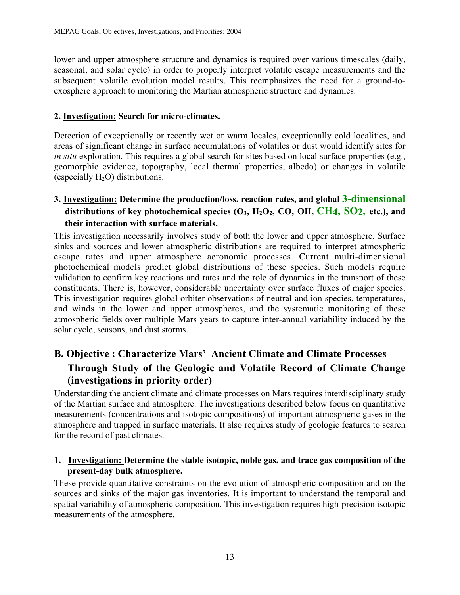lower and upper atmosphere structure and dynamics is required over various timescales (daily, seasonal, and solar cycle) in order to properly interpret volatile escape measurements and the subsequent volatile evolution model results. This reemphasizes the need for a ground-toexosphere approach to monitoring the Martian atmospheric structure and dynamics.

### 2. Investigation: Search for micro-climates.

Detection of exceptionally or recently wet or warm locales, exceptionally cold localities, and areas of significant change in surface accumulations of volatiles or dust would identify sites for *in situ* exploration. This requires a global search for sites based on local surface properties (e.g., geomorphic evidence, topography, local thermal properties, albedo) or changes in volatile (especially  $H_2O$ ) distributions.

## 3. Investigation: Determine the production/loss, reaction rates, and global 3-dimensional distributions of key photochemical species  $(O_3, H_2O_2, CO, OH, CH4, SO2, etc.),$  and their interaction with surface materials.

This investigation necessarily involves study of both the lower and upper atmosphere. Surface sinks and sources and lower atmospheric distributions are required to interpret atmospheric escape rates and upper atmosphere aeronomic processes. Current multi-dimensional photochemical models predict global distributions of these species. Such models require validation to confirm key reactions and rates and the role of dynamics in the transport of these constituents. There is, however, considerable uncertainty over surface fluxes of major species. This investigation requires global orbiter observations of neutral and ion species, temperatures, and winds in the lower and upper atmospheres, and the systematic monitoring of these atmospheric fields over multiple Mars years to capture inter-annual variability induced by the solar cycle, seasons, and dust storms.

## B. Objective : Characterize Mars' Ancient Climate and Climate Processes Through Study of the Geologic and Volatile Record of Climate Change (investigations in priority order)

Understanding the ancient climate and climate processes on Mars requires interdisciplinary study of the Martian surface and atmosphere. The investigations described below focus on quantitative measurements (concentrations and isotopic compositions) of important atmospheric gases in the atmosphere and trapped in surface materials. It also requires study of geologic features to search for the record of past climates.

### 1.Investigation: Determine the stable isotopic, noble gas, and trace gas composition of the present-day bulk atmosphere.

These provide quantitative constraints on the evolution of atmospheric composition and on the sources and sinks of the major gas inventories. It is important to understand the temporal and spatial variability of atmospheric composition. This investigation requires high-precision isotopic measurements of the atmosphere.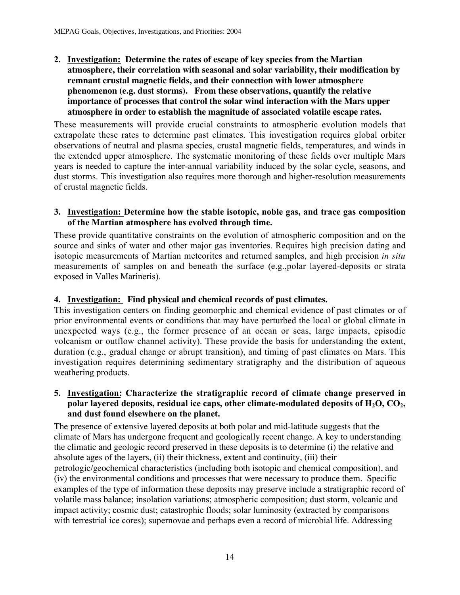2. Investigation**: Determine the rates of escape of key species from the Martian atmosphere, their correlation with seasonal and solar variability, their modification by remnant crustal magnetic fields, and their connection with lower atmosphere phenomenon (e.g. dust storms). From these observations, quantify the relative importance of processes that control the solar wind interaction with the Mars upper atmosphere in order to establish the magnitude of associated volatile escape rates**.

These measurements will provide crucial constraints to atmospheric evolution models that extrapolate these rates to determine past climates. This investigation requires global orbiter observations of neutral and plasma species, crustal magnetic fields, temperatures, and winds in the extended upper atmosphere. The systematic monitoring of these fields over multiple Mars years is needed to capture the inter-annual variability induced by the solar cycle, seasons, and dust storms. This investigation also requires more thorough and higher-resolution measurements of crustal magnetic fields.

### 3. Investigation: Determine how the stable isotopic, noble gas, and trace gas composition of the Martian atmosphere has evolved through time.

These provide quantitative constraints on the evolution of atmospheric composition and on the source and sinks of water and other major gas inventories. Requires high precision dating and isotopic measurements of Martian meteorites and returned samples, and high precision *in situ* measurements of samples on and beneath the surface (e.g.,polar layered-deposits or strata exposed in Valles Marineris).

### 4. Investigation: **Find physical and chemical records of past climates.**

This investigation centers on finding geomorphic and chemical evidence of past climates or of prior environmental events or conditions that may have perturbed the local or global climate in unexpected ways (e.g., the former presence of an ocean or seas, large impacts, episodic volcanism or outflow channel activity). These provide the basis for understanding the extent, duration (e.g., gradual change or abrupt transition), and timing of past climates on Mars. This investigation requires determining sedimentary stratigraphy and the distribution of aqueous weathering products.

### 5. Investigation: Characterize the stratigraphic record of climate change preserved in polar layered deposits, residual ice caps, other climate-modulated deposits of  $H_2O$ ,  $CO_2$ , and dust found elsewhere on the planet.

The presence of extensive layered deposits at both polar and mid-latitude suggests that the climate of Mars has undergone frequent and geologically recent change. A key to understanding the climatic and geologic record preserved in these deposits is to determine (i) the relative and absolute ages of the layers, (ii) their thickness, extent and continuity, (iii) their petrologic/geochemical characteristics (including both isotopic and chemical composition), and (iv) the environmental conditions and processes that were necessary to produce them. Specific examples of the type of information these deposits may preserve include a stratigraphic record of volatile mass balance; insolation variations; atmospheric composition; dust storm, volcanic and impact activity; cosmic dust; catastrophic floods; solar luminosity (extracted by comparisons with terrestrial ice cores); supernovae and perhaps even a record of microbial life. Addressing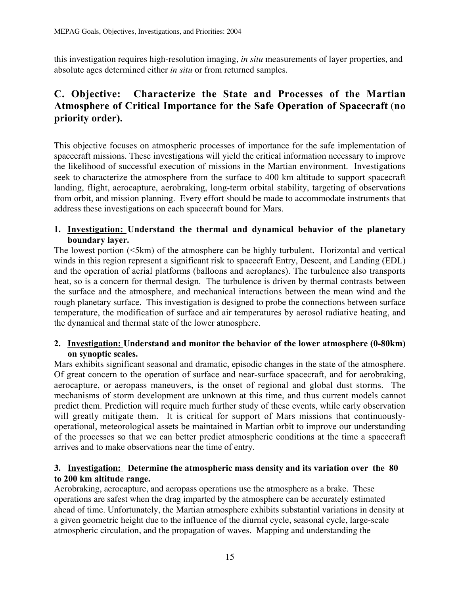this investigation requires high-resolution imaging, *in situ* measurements of layer properties, and absolute ages determined either *in situ* or from returned samples.

## C. Objective: Characterize the State and Processes of the Martian Atmosphere of Critical Importance for the Safe Operation of Spacecraft (no priority order).

This objective focuses on atmospheric processes of importance for the safe implementation of spacecraft missions. These investigations will yield the critical information necessary to improve the likelihood of successful execution of missions in the Martian environment. Investigations seek to characterize the atmosphere from the surface to 400 km altitude to support spacecraft landing, flight, aerocapture, aerobraking, long-term orbital stability, targeting of observations from orbit, and mission planning. Every effort should be made to accommodate instruments that address these investigations on each spacecraft bound for Mars.

### 1. Investigation: Understand the thermal and dynamical behavior of the planetary boundary layer.

The lowest portion (<5km) of the atmosphere can be highly turbulent. Horizontal and vertical winds in this region represent a significant risk to spacecraft Entry, Descent, and Landing (EDL) and the operation of aerial platforms (balloons and aeroplanes). The turbulence also transports heat, so is a concern for thermal design. The turbulence is driven by thermal contrasts between the surface and the atmosphere, and mechanical interactions between the mean wind and the rough planetary surface. This investigation is designed to probe the connections between surface temperature, the modification of surface and air temperatures by aerosol radiative heating, and the dynamical and thermal state of the lower atmosphere.

### 2. Investigation: Understand and monitor the behavior of the lower atmosphere (0-80km) on synoptic scales.

Mars exhibits significant seasonal and dramatic, episodic changes in the state of the atmosphere. Of great concern to the operation of surface and near-surface spacecraft, and for aerobraking, aerocapture, or aeropass maneuvers, is the onset of regional and global dust storms. The mechanisms of storm development are unknown at this time, and thus current models cannot predict them. Prediction will require much further study of these events, while early observation will greatly mitigate them. It is critical for support of Mars missions that continuouslyoperational, meteorological assets be maintained in Martian orbit to improve our understanding of the processes so that we can better predict atmospheric conditions at the time a spacecraft arrives and to make observations near the time of entry.

### **3.****Investigation:**Determine the atmospheric mass density and its variation over the 80 to 200 km altitude range.

Aerobraking, aerocapture, and aeropass operations use the atmosphere as a brake. These operations are safest when the drag imparted by the atmosphere can be accurately estimated ahead of time. Unfortunately, the Martian atmosphere exhibits substantial variations in density at a given geometric height due to the influence of the diurnal cycle, seasonal cycle, large-scale atmospheric circulation, and the propagation of waves. Mapping and understanding the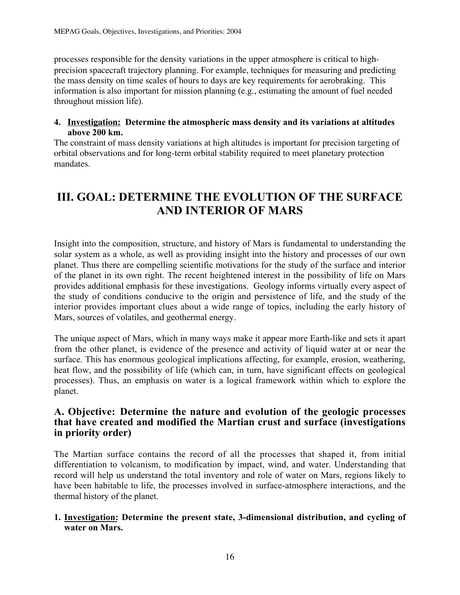processes responsible for the density variations in the upper atmosphere is critical to highprecision spacecraft trajectory planning. For example, techniques for measuring and predicting the mass density on time scales of hours to days are key requirements for aerobraking. This information is also important for mission planning (e.g., estimating the amount of fuel needed throughout mission life).

### 4. **Investigation:** Determine the atmospheric mass density and its variations at altitudes above 200 km.

The constraint of mass density variations at high altitudes is important for precision targeting of orbital observations and for long-term orbital stability required to meet planetary protection mandates.

## III. GOAL: DETERMINE THE EVOLUTION OF THE SURFACE AND INTERIOR OF MARS

Insight into the composition, structure, and history of Mars is fundamental to understanding the solar system as a whole, as well as providing insight into the history and processes of our own planet. Thus there are compelling scientific motivations for the study of the surface and interior of the planet in its own right. The recent heightened interest in the possibility of life on Mars provides additional emphasis for these investigations. Geology informs virtually every aspect of the study of conditions conducive to the origin and persistence of life, and the study of the interior provides important clues about a wide range of topics, including the early history of Mars, sources of volatiles, and geothermal energy.

The unique aspect of Mars, which in many ways make it appear more Earth-like and sets it apart from the other planet, is evidence of the presence and activity of liquid water at or near the surface. This has enormous geological implications affecting, for example, erosion, weathering, heat flow, and the possibility of life (which can, in turn, have significant effects on geological processes). Thus, an emphasis on water is a logical framework within which to explore the planet.

### A. Objective: Determine the nature and evolution of the geologic processes that have created and modified the Martian crust and surface (investigations in priority order)

The Martian surface contains the record of all the processes that shaped it, from initial differentiation to volcanism, to modification by impact, wind, and water. Understanding that record will help us understand the total inventory and role of water on Mars, regions likely to have been habitable to life, the processes involved in surface-atmosphere interactions, and the thermal history of the planet.

### 1. Investigation: Determine the present state, 3-dimensional distribution, and cycling of water on Mars.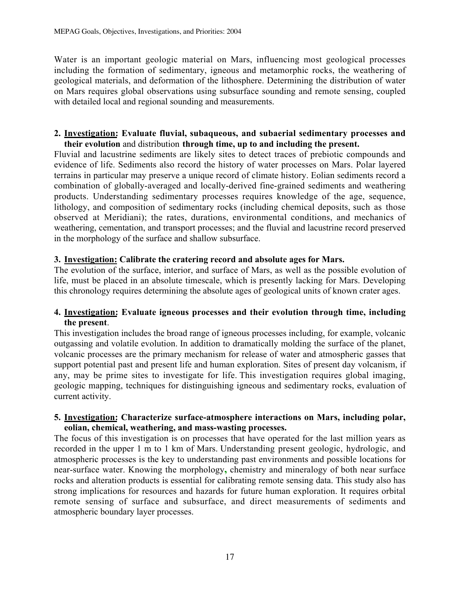Water is an important geologic material on Mars, influencing most geological processes including the formation of sedimentary, igneous and metamorphic rocks, the weathering of geological materials, and deformation of the lithosphere. Determining the distribution of water on Mars requires global observations using subsurface sounding and remote sensing, coupled with detailed local and regional sounding and measurements.

### 2. Investigation: Evaluate fluvial, subaqueous, and subaerial sedimentary processes and their evolution and distribution through time, up to and including the present.

Fluvial and lacustrine sediments are likely sites to detect traces of prebiotic compounds and evidence of life. Sediments also record the history of water processes on Mars. Polar layered terrains in particular may preserve a unique record of climate history. Eolian sediments record a combination of globally-averaged and locally-derived fine-grained sediments and weathering products. Understanding sedimentary processes requires knowledge of the age, sequence, lithology, and composition of sedimentary rocks (including chemical deposits, such as those observed at Meridiani); the rates, durations, environmental conditions, and mechanics of weathering, cementation, and transport processes; and the fluvial and lacustrine record preserved in the morphology of the surface and shallow subsurface.

### 3. Investigation: Calibrate the cratering record and absolute ages for Mars.

The evolution of the surface, interior, and surface of Mars, as well as the possible evolution of life, must be placed in an absolute timescale, which is presently lacking for Mars. Developing this chronology requires determining the absolute ages of geological units of known crater ages.

### 4. Investigation: Evaluate igneous processes and their evolution through time, including the present.

This investigation includes the broad range of igneous processes including, for example, volcanic outgassing and volatile evolution. In addition to dramatically molding the surface of the planet, volcanic processes are the primary mechanism for release of water and atmospheric gasses that support potential past and present life and human exploration. Sites of present day volcanism, if any, may be prime sites to investigate for life. This investigation requires global imaging, geologic mapping, techniques for distinguishing igneous and sedimentary rocks, evaluation of current activity.

### 5. Investigation: Characterize surface-atmosphere interactions on Mars, including polar, eolian, chemical, weathering, and mass-wasting processes.

The focus of this investigation is on processes that have operated for the last million years as recorded in the upper 1 m to 1 km of Mars. Understanding present geologic, hydrologic, and atmospheric processes is the key to understanding past environments and possible locations for near-surface water. Knowing the morphology, chemistry and mineralogy of both near surface rocks and alteration products is essential for calibrating remote sensing data. This study also has strong implications for resources and hazards for future human exploration. It requires orbital remote sensing of surface and subsurface, and direct measurements of sediments and atmospheric boundary layer processes.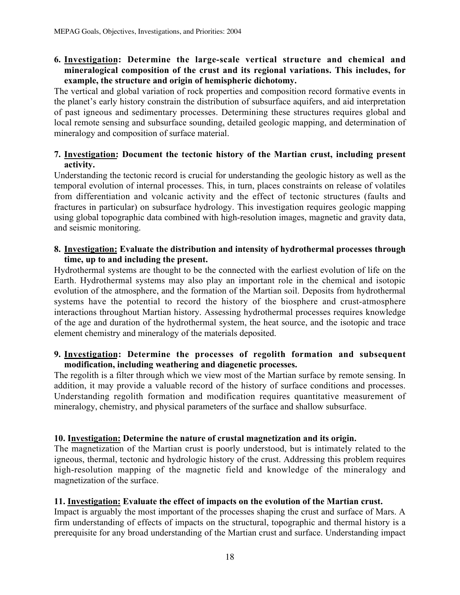### 6. Investigation: Determine the large-scale vertical structure and chemical and mineralogical composition of the crust and its regional variations. This includes, for example, the structure and origin of hemispheric dichotomy.

The vertical and global variation of rock properties and composition record formative events in the planet's early history constrain the distribution of subsurface aquifers, and aid interpretation of past igneous and sedimentary processes. Determining these structures requires global and local remote sensing and subsurface sounding, detailed geologic mapping, and determination of mineralogy and composition of surface material.

### 7. Investigation: Document the tectonic history of the Martian crust, including present activity.

Understanding the tectonic record is crucial for understanding the geologic history as well as the temporal evolution of internal processes. This, in turn, places constraints on release of volatiles from differentiation and volcanic activity and the effect of tectonic structures (faults and fractures in particular) on subsurface hydrology. This investigation requires geologic mapping using global topographic data combined with high-resolution images, magnetic and gravity data, and seismic monitoring.

### 8. Investigation: Evaluate the distribution and intensity of hydrothermal processes through time, up to and including the present.

Hydrothermal systems are thought to be the connected with the earliest evolution of life on the Earth. Hydrothermal systems may also play an important role in the chemical and isotopic evolution of the atmosphere, and the formation of the Martian soil. Deposits from hydrothermal systems have the potential to record the history of the biosphere and crust-atmosphere interactions throughout Martian history. Assessing hydrothermal processes requires knowledge of the age and duration of the hydrothermal system, the heat source, and the isotopic and trace element chemistry and mineralogy of the materials deposited.

### 9. Investigation: Determine the processes of regolith formation and subsequent modification, including weathering and diagenetic processes.

The regolith is a filter through which we view most of the Martian surface by remote sensing. In addition, it may provide a valuable record of the history of surface conditions and processes. Understanding regolith formation and modification requires quantitative measurement of mineralogy, chemistry, and physical parameters of the surface and shallow subsurface.

### 10. Investigation: Determine the nature of crustal magnetization and its origin.

The magnetization of the Martian crust is poorly understood, but is intimately related to the igneous, thermal, tectonic and hydrologic history of the crust. Addressing this problem requires high-resolution mapping of the magnetic field and knowledge of the mineralogy and magnetization of the surface.

### 11. Investigation: Evaluate the effect of impacts on the evolution of the Martian crust.

Impact is arguably the most important of the processes shaping the crust and surface of Mars. A firm understanding of effects of impacts on the structural, topographic and thermal history is a prerequisite for any broad understanding of the Martian crust and surface. Understanding impact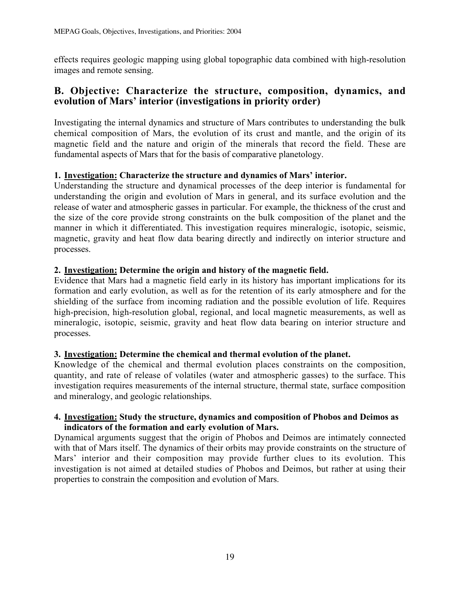effects requires geologic mapping using global topographic data combined with high-resolution images and remote sensing.

### B. Objective: Characterize the structure, composition, dynamics, and evolution of Mars' interior (investigations in priority order)

Investigating the internal dynamics and structure of Mars contributes to understanding the bulk chemical composition of Mars, the evolution of its crust and mantle, and the origin of its magnetic field and the nature and origin of the minerals that record the field. These are fundamental aspects of Mars that for the basis of comparative planetology.

### 1. Investigation: Characterize the structure and dynamics of Mars' interior.

Understanding the structure and dynamical processes of the deep interior is fundamental for understanding the origin and evolution of Mars in general, and its surface evolution and the release of water and atmospheric gasses in particular. For example, the thickness of the crust and the size of the core provide strong constraints on the bulk composition of the planet and the manner in which it differentiated. This investigation requires mineralogic, isotopic, seismic, magnetic, gravity and heat flow data bearing directly and indirectly on interior structure and processes.

### 2. Investigation: Determine the origin and history of the magnetic field.

Evidence that Mars had a magnetic field early in its history has important implications for its formation and early evolution, as well as for the retention of its early atmosphere and for the shielding of the surface from incoming radiation and the possible evolution of life. Requires high-precision, high-resolution global, regional, and local magnetic measurements, as well as mineralogic, isotopic, seismic, gravity and heat flow data bearing on interior structure and processes.

### 3. Investigation: Determine the chemical and thermal evolution of the planet.

Knowledge of the chemical and thermal evolution places constraints on the composition, quantity, and rate of release of volatiles (water and atmospheric gasses) to the surface. This investigation requires measurements of the internal structure, thermal state, surface composition and mineralogy, and geologic relationships.

### 4. Investigation: Study the structure, dynamics and composition of Phobos and Deimos as indicators of the formation and early evolution of Mars.

Dynamical arguments suggest that the origin of Phobos and Deimos are intimately connected with that of Mars itself. The dynamics of their orbits may provide constraints on the structure of Mars' interior and their composition may provide further clues to its evolution. This investigation is not aimed at detailed studies of Phobos and Deimos, but rather at using their properties to constrain the composition and evolution of Mars.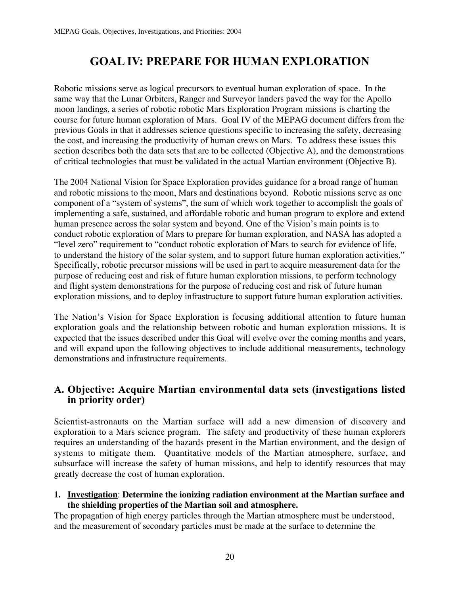## GOAL IV: PREPARE FOR HUMAN EXPLORATION

Robotic missions serve as logical precursors to eventual human exploration of space. In the same way that the Lunar Orbiters, Ranger and Surveyor landers paved the way for the Apollo moon landings, a series of robotic robotic Mars Exploration Program missions is charting the course for future human exploration of Mars. Goal IV of the MEPAG document differs from the previous Goals in that it addresses science questions specific to increasing the safety, decreasing the cost, and increasing the productivity of human crews on Mars. To address these issues this section describes both the data sets that are to be collected (Objective A), and the demonstrations of critical technologies that must be validated in the actual Martian environment (Objective B).

The 2004 National Vision for Space Exploration provides guidance for a broad range of human and robotic missions to the moon, Mars and destinations beyond. Robotic missions serve as one component of a "system of systems", the sum of which work together to accomplish the goals of implementing a safe, sustained, and affordable robotic and human program to explore and extend human presence across the solar system and beyond. One of the Vision's main points is to conduct robotic exploration of Mars to prepare for human exploration, and NASA has adopted a "level zero" requirement to "conduct robotic exploration of Mars to search for evidence of life, to understand the history of the solar system, and to support future human exploration activities." Specifically, robotic precursor missions will be used in part to acquire measurement data for the purpose of reducing cost and risk of future human exploration missions, to perform technology and flight system demonstrations for the purpose of reducing cost and risk of future human exploration missions, and to deploy infrastructure to support future human exploration activities.

The Nation's Vision for Space Exploration is focusing additional attention to future human exploration goals and the relationship between robotic and human exploration missions. It is expected that the issues described under this Goal will evolve over the coming months and years, and will expand upon the following objectives to include additional measurements, technology demonstrations and infrastructure requirements.

## A. Objective: Acquire Martian environmental data sets (investigations listed in priority order)

Scientist-astronauts on the Martian surface will add a new dimension of discovery and exploration to a Mars science program. The safety and productivity of these human explorers requires an understanding of the hazards present in the Martian environment, and the design of systems to mitigate them. Quantitative models of the Martian atmosphere, surface, and subsurface will increase the safety of human missions, and help to identify resources that may greatly decrease the cost of human exploration.

### **1. Investigation**: **Determine the ionizing radiation environment at the Martian surface and the shielding properties of the Martian soil and atmosphere.**

The propagation of high energy particles through the Martian atmosphere must be understood, and the measurement of secondary particles must be made at the surface to determine the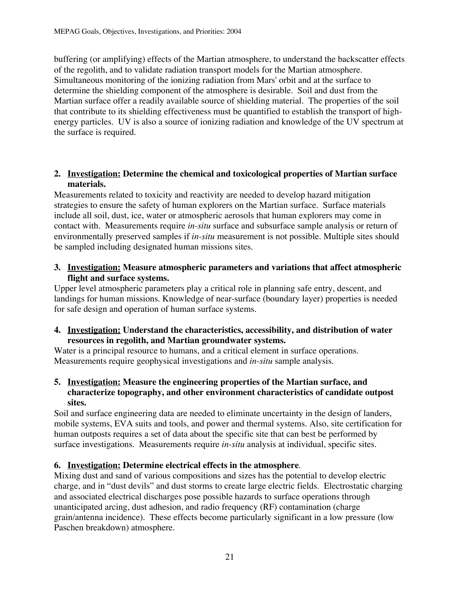buffering (or amplifying) effects of the Martian atmosphere, to understand the backscatter effects of the regolith, and to validate radiation transport models for the Martian atmosphere. Simultaneous monitoring of the ionizing radiation from Mars' orbit and at the surface to determine the shielding component of the atmosphere is desirable.Soil and dust from the Martian surface offer a readily available source of shielding material. The properties of the soil that contribute to its shielding effectiveness must be quantified to establish the transport of highenergy particles. UV is also a source of ionizing radiation and knowledge of the UV spectrum at the surface is required.

### **2. Investigation: Determine the chemical and toxicological properties of Martian surface materials.**

Measurements related to toxicity and reactivity are needed to develop hazard mitigation strategies to ensure the safety of human explorers on the Martian surface. Surface materials include all soil, dust, ice, water or atmospheric aerosols that human explorers may come in contact with. Measurements require *in-situ* surface and subsurface sample analysis or return of environmentally preserved samples if *in-situ* measurement is not possible. Multiple sites should be sampled including designated human missions sites.

### **3. Investigation: Measure atmospheric parameters and variations that affect atmospheric flight and surface systems.**

Upper level atmospheric parameters play a critical role in planning safe entry, descent, and landings for human missions. Knowledge of near-surface (boundary layer) properties is needed for safe design and operation of human surface systems.

### **4. Investigation: Understand the characteristics, accessibility, and distribution of water resources in regolith, and Martian groundwater systems.**

Water is a principal resource to humans, and a critical element in surface operations. Measurements require geophysical investigations and *in-situ* sample analysis.

### **5. Investigation: Measure the engineering properties of the Martian surface, and characterize topography, and other environment characteristics of candidate outpost sites.**

Soil and surface engineering data are needed to eliminate uncertainty in the design of landers, mobile systems, EVA suits and tools, and power and thermal systems. Also, site certification for human outposts requires a set of data about the specific site that can best be performed by surface investigations. Measurements require *in-situ* analysis at individual, specific sites.

### **6. Investigation: Determine electrical effects in the atmosphere**.

Mixing dust and sand of various compositions and sizes has the potential to develop electric charge, and in "dust devils" and dust storms to create large electric fields. Electrostatic charging and associated electrical discharges pose possible hazards to surface operations through unanticipated arcing, dust adhesion, and radio frequency (RF) contamination (charge grain/antenna incidence). These effects become particularly significant in a low pressure (low Paschen breakdown) atmosphere.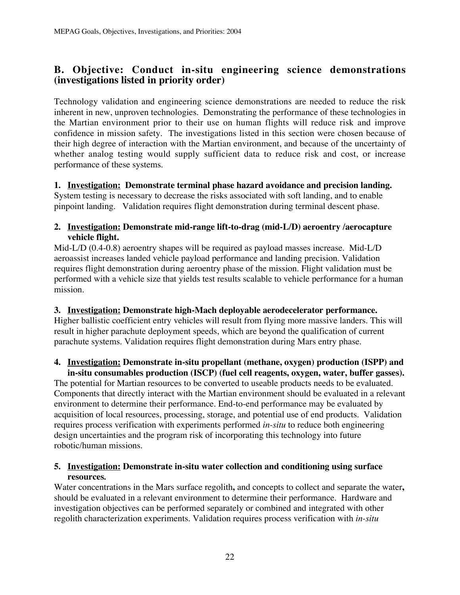### **B. Objective: Conduct in-situ engineering science demonstrations (investigations listed in priority order)**

Technology validation and engineering science demonstrations are needed to reduce the risk inherent in new, unproven technologies. Demonstrating the performance of these technologies in the Martian environment prior to their use on human flights will reduce risk and improve confidence in mission safety. The investigations listed in this section were chosen because of their high degree of interaction with the Martian environment, and because of the uncertainty of whether analog testing would supply sufficient data to reduce risk and cost, or increase performance of these systems.

**1. Investigation: Demonstrate terminal phase hazard avoidance and precision landing.** System testing is necessary to decrease the risks associated with soft landing, and to enable pinpoint landing. Validation requires flight demonstration during terminal descent phase.

### **2. Investigation: Demonstrate mid-range lift-to-drag (mid-L/D) aeroentry /aerocapture vehicle flight.**

Mid-L/D (0.4-0.8) aeroentry shapes will be required as payload masses increase. Mid-L/D aeroassist increases landed vehicle payload performance and landing precision. Validation requires flight demonstration during aeroentry phase of the mission. Flight validation must be performed with a vehicle size that yields test results scalable to vehicle performance for a human mission.

### **3. Investigation: Demonstrate high-Mach deployable aerodecelerator performance.**

Higher ballistic coefficient entry vehicles will result from flying more massive landers. This will result in higher parachute deployment speeds, which are beyond the qualification of current parachute systems. Validation requires flight demonstration during Mars entry phase.

### **4. Investigation: Demonstrate in-situ propellant (methane, oxygen) production (ISPP) and in-situ consumables production (ISCP) (fuel cell reagents, oxygen, water, buffer gasses).**

The potential for Martian resources to be converted to useable products needs to be evaluated. Components that directly interact with the Martian environment should be evaluated in a relevant environment to determine their performance. End-to-end performance may be evaluated by acquisition of local resources, processing, storage, and potential use of end products. Validation requires process verification with experiments performed *in-situ* to reduce both engineering design uncertainties and the program risk of incorporating this technology into future robotic/human missions.

### **5. Investigation: Demonstrate in-situ water collection and conditioning using surface resources***.*

Water concentrations in the Mars surface regolith**,** and concepts to collect and separate the water**,** should be evaluated in a relevant environment to determine their performance. Hardware and investigation objectives can be performed separately or combined and integrated with other regolith characterization experiments. Validation requires process verification with *in-situ*